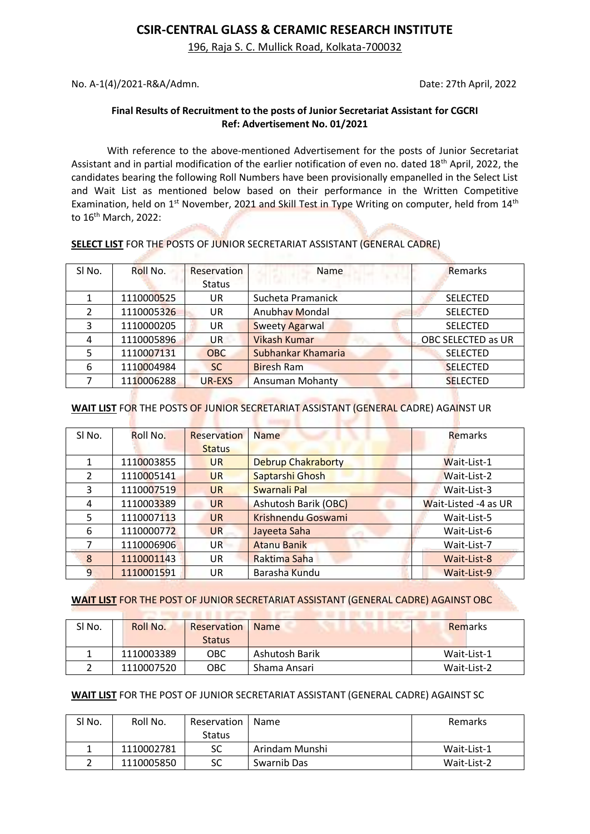### **CSIR-CENTRAL GLASS & CERAMIC RESEARCH INSTITUTE**

196, Raja S. C. Mullick Road, Kolkata-700032

No. A-1(4)/2021-R&A/Admn. Date: 27th April, 2022

#### **Final Results of Recruitment to the posts of Junior Secretariat Assistant for CGCRI Ref: Advertisement No. 01/2021**

With reference to the above-mentioned Advertisement for the posts of Junior Secretariat Assistant and in partial modification of the earlier notification of even no. dated 18<sup>th</sup> April, 2022, the candidates bearing the following Roll Numbers have been provisionally empanelled in the Select List and Wait List as mentioned below based on their performance in the Written Competitive Examination, held on 1<sup>st</sup> November, 2021 and Skill Test in Type Writing on computer, held from 14<sup>th</sup> to 16<sup>th</sup> March, 2022:

| SI No. | Roll No.   | Reservation   | Name                   | Remarks            |
|--------|------------|---------------|------------------------|--------------------|
|        |            | <b>Status</b> |                        |                    |
|        | 1110000525 | <b>UR</b>     | Sucheta Pramanick      | <b>SELECTED</b>    |
|        | 1110005326 | UR            | Anubhav Mondal         | <b>SELECTED</b>    |
| 3      | 1110000205 | <b>UR</b>     | <b>Sweety Agarwal</b>  | <b>SELECTED</b>    |
| 4      | 1110005896 | UR            | <b>Vikash Kumar</b>    | OBC SELECTED as UR |
| 5.     | 1110007131 | <b>OBC</b>    | Subhankar Khamaria     | <b>SELECTED</b>    |
| 6      | 1110004984 | <b>SC</b>     | <b>Biresh Ram</b>      | <b>SELECTED</b>    |
|        | 1110006288 | UR-EXS        | <b>Ansuman Mohanty</b> | <b>SELECTED</b>    |

#### **SELECT LIST** FOR THE POSTS OF JUNIOR SECRETARIAT ASSISTANT (GENERAL CADRE)

# **WAIT LIST** FOR THE POSTS OF JUNIOR SECRETARIAT ASSISTANT (GENERAL CADRE) AGAINST UR

| SI No.        | Roll No.   | <b>Reservation</b> | <b>Name</b>                 | Remarks              |
|---------------|------------|--------------------|-----------------------------|----------------------|
|               |            | <b>Status</b>      |                             |                      |
|               | 1110003855 | <b>UR</b>          | <b>Debrup Chakraborty</b>   | Wait-List-1          |
| $\mathcal{P}$ | 1110005141 | <b>UR</b>          | Saptarshi Ghosh             | Wait-List-2          |
| 3             | 1110007519 | <b>UR</b>          | Swarnali Pal                | Wait-List-3          |
| 4             | 1110003389 | <b>UR</b>          | <b>Ashutosh Barik (OBC)</b> | Wait-Listed -4 as UR |
| 5             | 1110007113 | <b>UR</b>          | <b>Krishnendu Goswami</b>   | Wait-List-5          |
| 6             | 1110000772 | <b>UR</b>          | Jayeeta Saha                | Wait-List-6          |
|               | 1110006906 | <b>UR</b>          | <b>Atanu Banik</b>          | Wait-List-7          |
| 8             | 1110001143 | UR                 | Raktima Saha                | Wait-List-8          |
| 9             | 1110001591 | UR                 | Barasha Kundu               | Wait-List-9          |

**WAIT LIST** FOR THE POST OF JUNIOR SECRETARIAT ASSISTANT (GENERAL CADRE) AGAINST OBC

to support the air at the bare

| SI No. | Roll No.   | Reservation   | <b>Name</b>    | Remarks     |
|--------|------------|---------------|----------------|-------------|
|        |            | <b>Status</b> |                |             |
|        | 1110003389 | OBC           | Ashutosh Barik | Wait-List-1 |
|        | 1110007520 | ОВС           | Shama Ansari   | Wait-List-2 |

#### **WAIT LIST** FOR THE POST OF JUNIOR SECRETARIAT ASSISTANT (GENERAL CADRE) AGAINST SC

| SI No. | Roll No.   | Reservation   | Name           | Remarks     |
|--------|------------|---------------|----------------|-------------|
|        |            | <b>Status</b> |                |             |
|        | 1110002781 | SC            | Arindam Munshi | Wait-List-1 |
|        | 1110005850 | SC            | Swarnib Das    | Wait-List-2 |